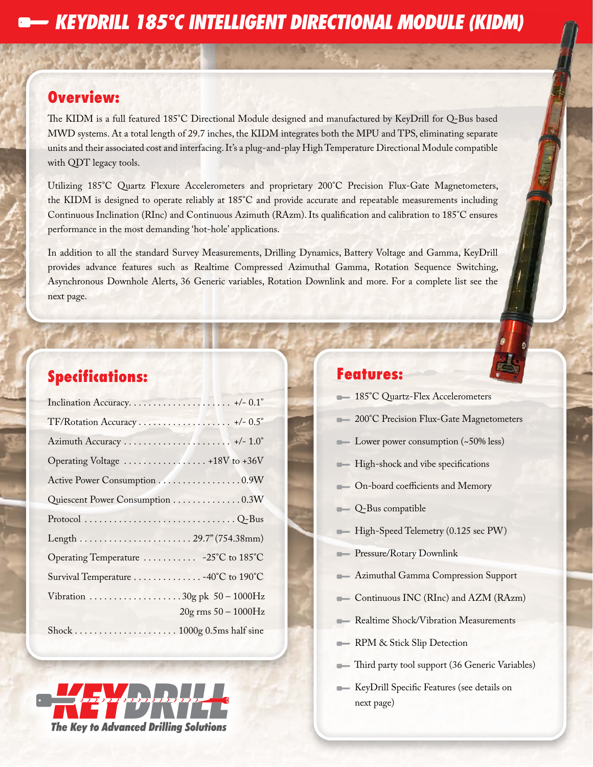# **Overview:**

The KIDM is a full featured 185°C Directional Module designed and manufactured by KeyDrill for Q-Bus based MWD systems. At a total length of 29.7 inches, the KIDM integrates both the MPU and TPS, eliminating separate units and their associated cost and interfacing. It's a plug-and-play High Temperature Directional Module compatible with QDT legacy tools.

Utilizing 185°C Quartz Flexure Accelerometers and proprietary 200°C Precision Flux-Gate Magnetometers, the KIDM is designed to operate reliably at 185°C and provide accurate and repeatable measurements including Continuous Inclination (RInc) and Continuous Azimuth (RAzm). Its qualification and calibration to 185°C ensures performance in the most demanding 'hot-hole' applications.

In addition to all the standard Survey Measurements, Drilling Dynamics, Battery Voltage and Gamma, KeyDrill provides advance features such as Realtime Compressed Azimuthal Gamma, Rotation Sequence Switching, Asynchronous Downhole Alerts, 36 Generic variables, Rotation Downlink and more. For a complete list see the next page.

# **Specifications:**

| TF/Rotation Accuracy  +/- 0.5°        |                         |
|---------------------------------------|-------------------------|
|                                       |                         |
| Operating Voltage  +18V to +36V       |                         |
| Active Power Consumption 0.9W         |                         |
| Quiescent Power Consumption 0.3W      |                         |
|                                       |                         |
| Length 29.7" (754.38mm)               |                         |
| Operating Temperature  -25°C to 185°C |                         |
| Survival Temperature 40°C to 190°C    |                         |
|                                       |                         |
|                                       | $20g$ rms $50 - 1000Hz$ |
|                                       |                         |



# **Features:**

|  |  |  | 185°C Quartz-Flex Accelerometers |
|--|--|--|----------------------------------|
|--|--|--|----------------------------------|

- 200°C Precision Flux-Gate Magnetometers
- Lower power consumption (~50% less)
- **High-shock and vibe specifications**
- On-board coefficients and Memory
- Q-Bus compatible
- High-Speed Telemetry (0.125 sec PW)
- **Pressure/Rotary Downlink**
- **Azimuthal Gamma Compression Support**
- Continuous INC (RInc) and AZM (RAzm)
- **Realtime Shock/Vibration Measurements**
- RPM & Stick Slip Detection
- Third party tool support (36 Generic Variables)
- KeyDrill Specific Features (see details on next page)